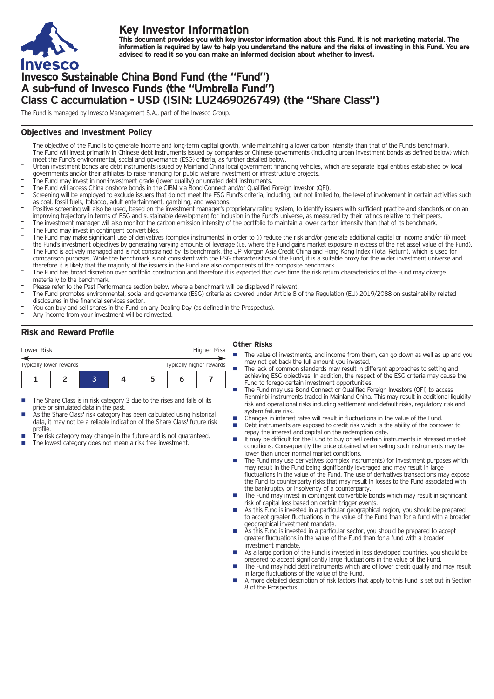

# **Key Investor Information**

This document provides you with key investor information about this Fund. It is not marketing material. The information is required by law to help you understand the nature and the risks of investing in this Fund. You are **advised to read it so you can make an informed decision about whether to invest.**

# **Invesco Sustainable China Bond Fund (the "Fund") A sub-fund of Invesco Funds (the "Umbrella Fund") Class C accumulation - USD (ISIN: LU2469026749) (the "Share Class")**

The Fund is managed by Invesco Management S.A., part of the Invesco Group.

## **Objectives and Investment Policy**

- The objective of the Fund is to generate income and long-term capital growth, while maintaining a lower carbon intensity than that of the Fund's benchmark. The Fund will invest primarily in Chinese debt instruments issued by companies or Chinese governments (including urban investment bonds as defined below) which meet the Fund's environmental, social and governance (ESG) criteria, as further detailed below.
- Urban investment bonds are debt instruments issued by Mainland China local government financing vehicles, which are separate legal entities established by local governments and/or their affiliates to raise financing for public welfare investment or infrastructure projects.
- The Fund may invest in non-investment grade (lower quality) or unrated debt instruments.
- The Fund will access China onshore bonds in the CIBM via Bond Connect and/or Qualified Foreign Investor (QFI).
- Screening will be employed to exclude issuers that do not meet the ESG Fund's criteria, including, but not limited to, the level of involvement in certain activities such as coal, fossil fuels, tobacco, adult entertainment, gambling, and weapons.
- Positive screening will also be used, based on the investment manager's proprietary rating system, to identify issuers with sufficient practice and standards or on an improving trajectory in terms of ESG and sustainable development for inclusion in the Fund's universe, as measured by their ratings relative to their peers.
- The investment manager will also monitor the carbon emission intensity of the portfolio to maintain a lower carbon intensity than that of its benchmark.
- The Fund may invest in contingent convertibles.
- The Fund may make significant use of derivatives (complex instruments) in order to (i) reduce the risk and/or generate additional capital or income and/or (ii) meet the Fund's investment objectives by generating varying amounts of leverage (i.e. where the Fund gains market exposure in excess of the net asset value of the Fund).
- The Fund is actively managed and is not constrained by its benchmark, the JP Morgan Asia Credit China and Hong Kong Index (Total Return), which is used for comparison purposes. While the benchmark is not consistent with the ESG characteristics of the Fund, it is a suitable proxy for the wider investment universe and therefore it is likely that the majority of the issuers in the Fund are also components of the composite benchmark.
- The Fund has broad discretion over portfolio construction and therefore it is expected that over time the risk return characteristics of the Fund may diverge materially to the benchmark.
- Please refer to the Past Performance section below where a benchmark will be displayed if relevant.
- The Fund promotes environmental, social and governance (ESG) criteria as covered under Article 8 of the Regulation (EU) 2019/2088 on sustainability related disclosures in the financial services sector.
- You can buy and sell shares in the Fund on any Dealing Day (as defined in the Prospectus).
- Any income from your investment will be reinvested.

## **Risk and Reward Profile**

| Lower Risk                                          |  |  |  |   | Higher Risk |  |  |
|-----------------------------------------------------|--|--|--|---|-------------|--|--|
| Typically higher rewards<br>Typically lower rewards |  |  |  |   |             |  |  |
|                                                     |  |  |  | 5 |             |  |  |

- The Share Class is in risk category 3 due to the rises and falls of its price or simulated data in the past.
- As the Share Class' risk category has been calculated using historical data, it may not be a reliable indication of the Share Class' future risk profile.
- The risk category may change in the future and is not guaranteed.
- The lowest category does not mean a risk free investment.

#### **Other Risks**

- $\blacksquare$  The value of investments, and income from them, can go down as well as up and you may not get back the full amount you invested.
- The lack of common standards may result in different approaches to setting and achieving ESG objectives. In addition, the respect of the ESG criteria may cause the Fund to forego certain investment opportunities.
- n The Fund may use Bond Connect or Qualified Foreign Investors (QFI) to access Renminbi instruments traded in Mainland China. This may result in additional liquidity risk and operational risks including settlement and default risks, regulatory risk and system failure risk.
- Changes in interest rates will result in fluctuations in the value of the Fund.
- Debt instruments are exposed to credit risk which is the ability of the borrower to repay the interest and capital on the redemption date.
- It may be difficult for the Fund to buy or sell certain instruments in stressed market conditions. Consequently the price obtained when selling such instruments may be lower than under normal market conditions.
- The Fund may use derivatives (complex instruments) for investment purposes which may result in the Fund being significantly leveraged and may result in large fluctuations in the value of the Fund. The use of derivatives transactions may expose the Fund to counterparty risks that may result in losses to the Fund associated with the bankruptcy or insolvency of a counterparty.
- $\blacksquare$  The Fund may invest in contingent convertible bonds which may result in significant risk of capital loss based on certain trigger events.
- As this Fund is invested in a particular geographical region, you should be prepared to accept greater fluctuations in the value of the Fund than for a fund with a broader geographical investment mandate.
- As this Fund is invested in a particular sector, you should be prepared to accept greater fluctuations in the value of the Fund than for a fund with a broader investment mandate.
- As a large portion of the Fund is invested in less developed countries, you should be prepared to accept significantly large fluctuations in the value of the Fund.
- The Fund may hold debt instruments which are of lower credit quality and may result in large fluctuations of the value of the Fund.
- n A more detailed description of risk factors that apply to this Fund is set out in Section 8 of the Prospectus.